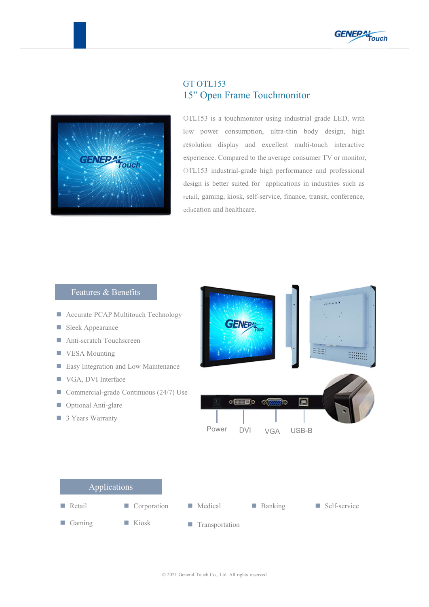



## GT OTL153 15" Open Frame Touchmonitor

OTL153 is a touchmonitor using industrial grade LED, with low power consumption, ultra-thin body design, high resolution display and excellent multi-touch interactive experience. Compared to the average consumer TV or monitor, OTL153 industrial-grade high performance and professional design is better suited for applications in industries such as retail, gaming, kiosk, self-service, finance, transit, conference, education and healthcare.

## Features & Benefits

- **Accurate PCAP Multitouch Technology**
- Sleek Appearance
- Anti-scratch Touchscreen
- **VESA Mounting**
- **Easy Integration and Low Maintenance**
- VGA, DVI Interface
- Commercial-grade Continuous  $(24/7)$  Use
- Optional Anti-glare
- 3 Years Warranty



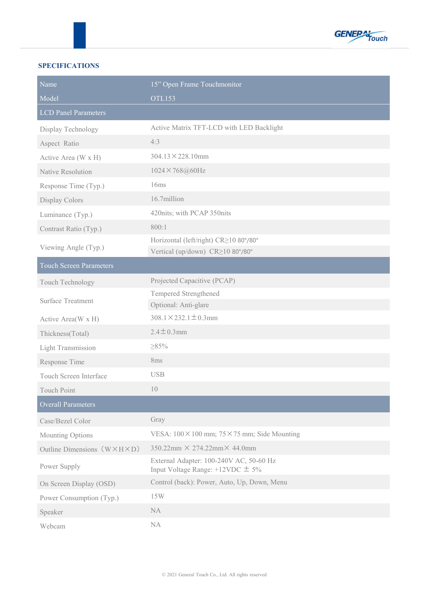

## **SPECIFICATIONS**

| Name                                       | 15" Open Frame Touchmonitor                                                      |  |  |
|--------------------------------------------|----------------------------------------------------------------------------------|--|--|
| Model                                      | <b>OTL153</b>                                                                    |  |  |
| <b>LCD Panel Parameters</b>                |                                                                                  |  |  |
| Display Technology                         | Active Matrix TFT-LCD with LED Backlight                                         |  |  |
| Aspect Ratio                               | 4:3                                                                              |  |  |
| Active Area (W x H)                        | $304.13 \times 228.10$ mm                                                        |  |  |
| Native Resolution                          | 1024×768@60Hz                                                                    |  |  |
| Response Time (Typ.)                       | 16ms                                                                             |  |  |
| Display Colors                             | 16.7million                                                                      |  |  |
| Luminance (Typ.)                           | 420nits; with PCAP 350nits                                                       |  |  |
| Contrast Ratio (Typ.)                      | 800:1                                                                            |  |  |
| Viewing Angle (Typ.)                       | Horizontal (left/right) CR≥10 80°/80°<br>Vertical (up/down) CR≥10 80°/80°        |  |  |
| <b>Touch Screen Parameters</b>             |                                                                                  |  |  |
| Touch Technology                           | Projected Capacitive (PCAP)                                                      |  |  |
| <b>Surface Treatment</b>                   | Tempered Strengthened<br>Optional: Anti-glare                                    |  |  |
| Active Area(W x H)                         | $308.1 \times 232.1 \pm 0.3$ mm                                                  |  |  |
| Thickness(Total)                           | $2.4 \pm 0.3$ mm                                                                 |  |  |
| <b>Light Transmission</b>                  | $\geq 85\%$                                                                      |  |  |
| Response Time                              | 8ms                                                                              |  |  |
| Touch Screen Interface                     | <b>USB</b>                                                                       |  |  |
| <b>Touch Point</b>                         | 10                                                                               |  |  |
| <b>Overall Parameters</b>                  |                                                                                  |  |  |
| Case/Bezel Color                           | Gray                                                                             |  |  |
| Mounting Options                           | VESA: $100 \times 100$ mm; $75 \times 75$ mm; Side Mounting                      |  |  |
| Outline Dimensions $(W \times H \times D)$ | $350.22 \text{mm} \times 274.22 \text{mm} \times 44.0 \text{mm}$                 |  |  |
| Power Supply                               | External Adapter: 100-240V AC, 50-60 Hz<br>Input Voltage Range: $+12VDC \pm 5\%$ |  |  |
| On Screen Display (OSD)                    | Control (back): Power, Auto, Up, Down, Menu                                      |  |  |
| Power Consumption (Typ.)                   | 15W                                                                              |  |  |
| Speaker                                    | NA                                                                               |  |  |
| Webcam                                     | NA                                                                               |  |  |